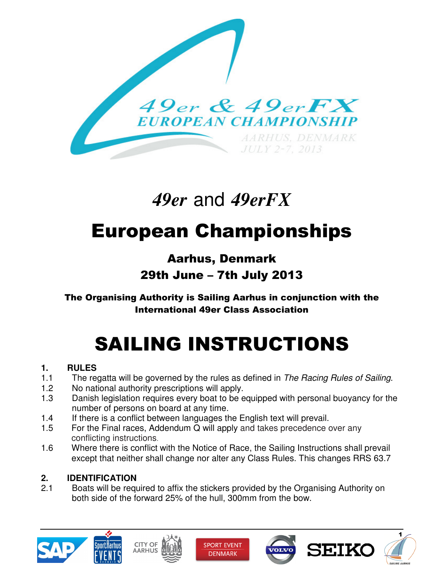

# *49er* and *49erFX*

# European Championships

# Aarhus, Denmark 29th June – 7th July 2013

### The Organising Authority is Sailing Aarhus in conjunction with the International 49er Class Association

# SAILING INSTRUCTIONS

### **1. RULES**

- 1.1 The regatta will be governed by the rules as defined in The Racing Rules of Sailing.
- 1.2 No national authority prescriptions will apply.
- 1.3 Danish legislation requires every boat to be equipped with personal buoyancy for the number of persons on board at any time.
- 1.4 If there is a conflict between languages the English text will prevail.
- 1.5 For the Final races, Addendum Q will apply and takes precedence over any conflicting instructions.
- 1.6 Where there is conflict with the Notice of Race, the Sailing Instructions shall prevail except that neither shall change nor alter any Class Rules. This changes RRS 63.7

## **2. IDENTIFICATION**

2.1 Boats will be required to affix the stickers provided by the Organising Authority on both side of the forward 25% of the hull, 300mm from the bow.











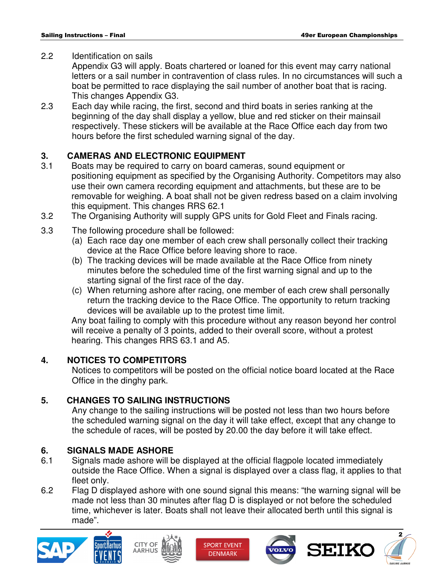#### 2.2 Identification on sails

 Appendix G3 will apply. Boats chartered or loaned for this event may carry national letters or a sail number in contravention of class rules. In no circumstances will such a boat be permitted to race displaying the sail number of another boat that is racing. This changes Appendix G3.

2.3 Each day while racing, the first, second and third boats in series ranking at the beginning of the day shall display a yellow, blue and red sticker on their mainsail respectively. These stickers will be available at the Race Office each day from two hours before the first scheduled warning signal of the day.

#### **3. CAMERAS AND ELECTRONIC EQUIPMENT**

- 3.1 Boats may be required to carry on board cameras, sound equipment or positioning equipment as specified by the Organising Authority. Competitors may also use their own camera recording equipment and attachments, but these are to be removable for weighing. A boat shall not be given redress based on a claim involving this equipment. This changes RRS 62.1
- 3.2 The Organising Authority will supply GPS units for Gold Fleet and Finals racing.
- 3.3 The following procedure shall be followed:
	- (a) Each race day one member of each crew shall personally collect their tracking device at the Race Office before leaving shore to race.
	- (b) The tracking devices will be made available at the Race Office from ninety minutes before the scheduled time of the first warning signal and up to the starting signal of the first race of the day.
	- (c) When returning ashore after racing, one member of each crew shall personally return the tracking device to the Race Office. The opportunity to return tracking devices will be available up to the protest time limit.

 Any boat failing to comply with this procedure without any reason beyond her control will receive a penalty of 3 points, added to their overall score, without a protest hearing. This changes RRS 63.1 and A5.

#### **4. NOTICES TO COMPETITORS**

 Notices to competitors will be posted on the official notice board located at the Race Office in the dinghy park.

#### **5. CHANGES TO SAILING INSTRUCTIONS**

 Any change to the sailing instructions will be posted not less than two hours before the scheduled warning signal on the day it will take effect, except that any change to the schedule of races, will be posted by 20.00 the day before it will take effect.

#### **6. SIGNALS MADE ASHORE**

- 6.1 Signals made ashore will be displayed at the official flagpole located immediately outside the Race Office. When a signal is displayed over a class flag, it applies to that fleet only.
- 6.2 Flag D displayed ashore with one sound signal this means: "the warning signal will be made not less than 30 minutes after flag D is displayed or not before the scheduled time, whichever is later. Boats shall not leave their allocated berth until this signal is made".











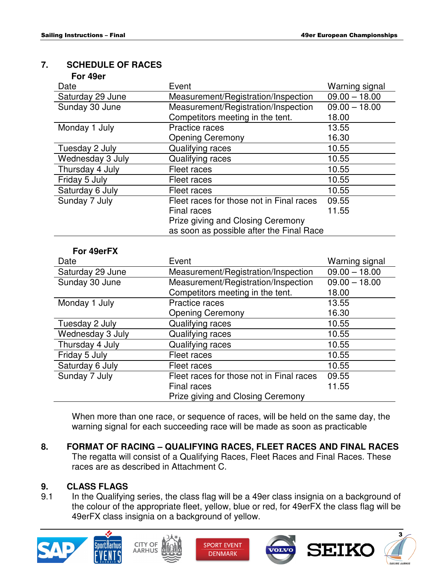#### **7. SCHEDULE OF RACES**

| Date             | Event                                    | Warning signal  |
|------------------|------------------------------------------|-----------------|
| Saturday 29 June | Measurement/Registration/Inspection      | $09.00 - 18.00$ |
| Sunday 30 June   | Measurement/Registration/Inspection      | $09.00 - 18.00$ |
|                  | Competitors meeting in the tent.         | 18.00           |
| Monday 1 July    | Practice races                           | 13.55           |
|                  | <b>Opening Ceremony</b>                  | 16.30           |
| Tuesday 2 July   | Qualifying races                         | 10.55           |
| Wednesday 3 July | Qualifying races                         | 10.55           |
| Thursday 4 July  | Fleet races                              | 10.55           |
| Friday 5 July    | Fleet races                              | 10.55           |
| Saturday 6 July  | Fleet races                              | 10.55           |
| Sunday 7 July    | Fleet races for those not in Final races | 09.55           |
|                  | <b>Final races</b>                       | 11.55           |
|                  | Prize giving and Closing Ceremony        |                 |
|                  | as soon as possible after the Final Race |                 |
|                  |                                          |                 |
| For 49erFX       |                                          |                 |
| Date             | Event                                    | Warning signal  |
| Saturday 29 June | Measurement/Registration/Inspection      | $09.00 - 18.00$ |
| Sunday 30 June   | Measurement/Registration/Inspection      | $09.00 - 18.00$ |
|                  | Competitors meeting in the tent.         | 18.00           |
| Monday 1 July    | <b>Practice races</b>                    | 13.55           |
|                  | <b>Opening Ceremony</b>                  | 16.30           |
| Tuesday 2 July   | Qualifying races                         | 10.55           |
| Wednesday 3 July | Qualifying races                         | 10.55           |
| Thursday 4 July  | Qualifying races                         | 10.55           |
| Friday 5 July    | Fleet races                              | 10.55           |
| Saturday 6 July  | Fleet races                              | 10.55           |

 When more than one race, or sequence of races, will be held on the same day, the warning signal for each succeeding race will be made as soon as practicable

Prize giving and Closing Ceremony

**8. FORMAT OF RACING – QUALIFYING RACES, FLEET RACES AND FINAL RACES**  The regatta will consist of a Qualifying Races, Fleet Races and Final Races. These races are as described in Attachment C.

Sunday 7 July Fleet races for those not in Final races Final races

#### **9. CLASS FLAGS**

9.1 In the Qualifying series, the class flag will be a 49er class insignia on a background of the colour of the appropriate fleet, yellow, blue or red, for 49erFX the class flag will be 49erFX class insignia on a background of yellow.











09.55 11.55

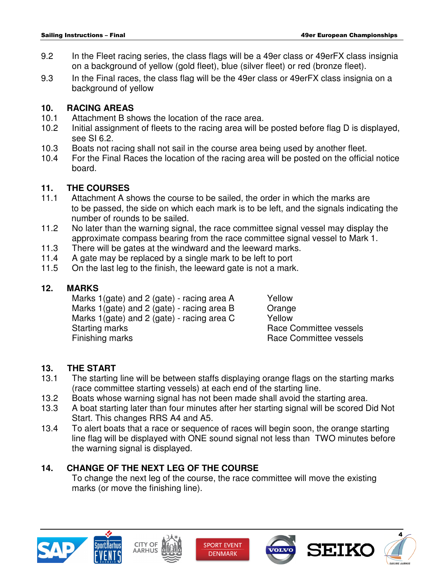- 9.2 In the Fleet racing series, the class flags will be a 49er class or 49erFX class insignia on a background of yellow (gold fleet), blue (silver fleet) or red (bronze fleet).
- 9.3 In the Final races, the class flag will be the 49er class or 49erFX class insignia on a background of yellow

#### **10. RACING AREAS**

- 10.1 Attachment B shows the location of the race area.
- 10.2 Initial assignment of fleets to the racing area will be posted before flag D is displayed, see SI 6.2.
- 10.3 Boats not racing shall not sail in the course area being used by another fleet.
- 10.4 For the Final Races the location of the racing area will be posted on the official notice board.

#### **11. THE COURSES**

- 11.1 Attachment A shows the course to be sailed, the order in which the marks are to be passed, the side on which each mark is to be left, and the signals indicating the number of rounds to be sailed.
- 11.2 No later than the warning signal, the race committee signal vessel may display the approximate compass bearing from the race committee signal vessel to Mark 1.
- 11.3 There will be gates at the windward and the leeward marks.
- 11.4 A gate may be replaced by a single mark to be left to port
- 11.5 On the last leg to the finish, the leeward gate is not a mark.

#### **12. MARKS**

Marks 1(gate) and 2 (gate) - racing area A Yellow Marks 1(gate) and 2 (gate) - racing area B  $O$  Orange Marks 1(gate) and 2 (gate) - racing area C  $\overline{Y}$  Yellow Starting marks **Race Committee vessels** Finishing marks **Race Committee vessels** 

#### **13. THE START**

- 13.1 The starting line will be between staffs displaying orange flags on the starting marks (race committee starting vessels) at each end of the starting line.
- 13.2 Boats whose warning signal has not been made shall avoid the starting area.
- 13.3 A boat starting later than four minutes after her starting signal will be scored Did Not Start. This changes RRS A4 and A5.
- 13.4 To alert boats that a race or sequence of races will begin soon, the orange starting line flag will be displayed with ONE sound signal not less than TWO minutes before the warning signal is displayed.

#### **14. CHANGE OF THE NEXT LEG OF THE COURSE**

 To change the next leg of the course, the race committee will move the existing marks (or move the finishing line).











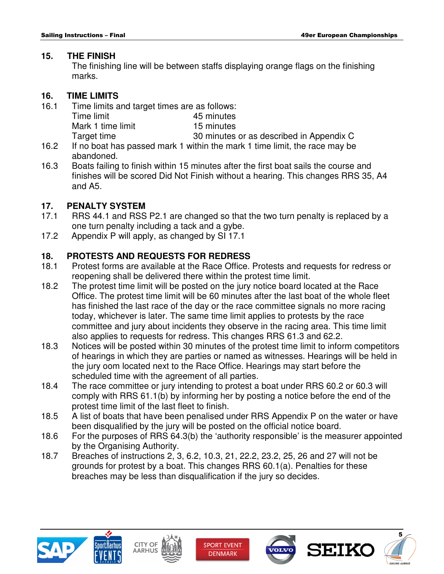#### **15. THE FINISH**

 The finishing line will be between staffs displaying orange flags on the finishing marks.

#### **16. TIME LIMITS**

| 16.1 | Time limits and target times are as follows: |                                                                           |  |
|------|----------------------------------------------|---------------------------------------------------------------------------|--|
|      | Time limit                                   | 45 minutes                                                                |  |
|      | Mark 1 time limit                            | 15 minutes                                                                |  |
|      | Target time                                  | 30 minutes or as described in Appendix C                                  |  |
| 162  |                                              | If no boat has passed mark 1 within the mark 1 time limit the race may be |  |

- 16.2 If no boat has passed mark 1 within the mark 1 time limit, the race may be abandoned.
- 16.3 Boats failing to finish within 15 minutes after the first boat sails the course and finishes will be scored Did Not Finish without a hearing. This changes RRS 35, A4 and A5.

#### **17. PENALTY SYSTEM**

- 17.1 RRS 44.1 and RSS P2.1 are changed so that the two turn penalty is replaced by a one turn penalty including a tack and a gybe.
- 17.2 Appendix P will apply, as changed by SI 17.1

#### **18. PROTESTS AND REQUESTS FOR REDRESS**

- 18.1 Protest forms are available at the Race Office. Protests and requests for redress or reopening shall be delivered there within the protest time limit.
- 18.2 The protest time limit will be posted on the jury notice board located at the Race Office. The protest time limit will be 60 minutes after the last boat of the whole fleet has finished the last race of the day or the race committee signals no more racing today, whichever is later. The same time limit applies to protests by the race committee and jury about incidents they observe in the racing area. This time limit also applies to requests for redress. This changes RRS 61.3 and 62.2.
- 18.3 Notices will be posted within 30 minutes of the protest time limit to inform competitors of hearings in which they are parties or named as witnesses. Hearings will be held in the jury oom located next to the Race Office. Hearings may start before the scheduled time with the agreement of all parties.
- 18.4 The race committee or jury intending to protest a boat under RRS 60.2 or 60.3 will comply with RRS 61.1(b) by informing her by posting a notice before the end of the protest time limit of the last fleet to finish.
- 18.5 A list of boats that have been penalised under RRS Appendix P on the water or have been disqualified by the jury will be posted on the official notice board.
- 18.6 For the purposes of RRS 64.3(b) the 'authority responsible' is the measurer appointed by the Organising Authority.
- 18.7 Breaches of instructions 2, 3, 6.2, 10.3, 21, 22.2, 23.2, 25, 26 and 27 will not be grounds for protest by a boat. This changes RRS 60.1(a). Penalties for these breaches may be less than disqualification if the jury so decides.











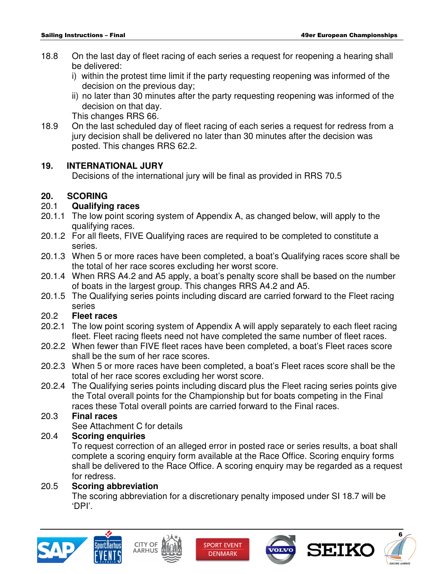- 18.8 On the last day of fleet racing of each series a request for reopening a hearing shall be delivered:
	- i) within the protest time limit if the party requesting reopening was informed of the decision on the previous day;
	- ii) no later than 30 minutes after the party requesting reopening was informed of the decision on that day.

This changes RRS 66.

18.9 On the last scheduled day of fleet racing of each series a request for redress from a jury decision shall be delivered no later than 30 minutes after the decision was posted. This changes RRS 62.2.

#### **19. INTERNATIONAL JURY**

Decisions of the international jury will be final as provided in RRS 70.5

#### **20. SCORING**

#### 20.1 **Qualifying races**

- 20.1.1 The low point scoring system of Appendix A, as changed below, will apply to the qualifying races.
- 20.1.2 For all fleets, FIVE Qualifying races are required to be completed to constitute a series.
- 20.1.3 When 5 or more races have been completed, a boat's Qualifying races score shall be the total of her race scores excluding her worst score.
- 20.1.4 When RRS A4.2 and A5 apply, a boat's penalty score shall be based on the number of boats in the largest group. This changes RRS A4.2 and A5.
- 20.1.5 The Qualifying series points including discard are carried forward to the Fleet racing series

#### 20.2 **Fleet races**

- 20.2.1 The low point scoring system of Appendix A will apply separately to each fleet racing fleet. Fleet racing fleets need not have completed the same number of fleet races.
- 20.2.2 When fewer than FIVE fleet races have been completed, a boat's Fleet races score shall be the sum of her race scores.
- 20.2.3 When 5 or more races have been completed, a boat's Fleet races score shall be the total of her race scores excluding her worst score.
- 20.2.4 The Qualifying series points including discard plus the Fleet racing series points give the Total overall points for the Championship but for boats competing in the Final races these Total overall points are carried forward to the Final races.

#### 20.3 **Final races**

See Attachment C for details

#### 20.4 **Scoring enquiries**

 To request correction of an alleged error in posted race or series results, a boat shall complete a scoring enquiry form available at the Race Office. Scoring enquiry forms shall be delivered to the Race Office. A scoring enquiry may be regarded as a request for redress.

#### 20.5 **Scoring abbreviation**

 The scoring abbreviation for a discretionary penalty imposed under SI 18.7 will be 'DPI'.











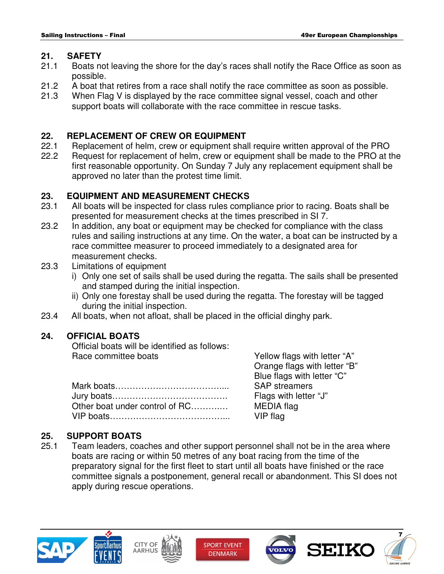#### **21. SAFETY**

- 21.1 Boats not leaving the shore for the day's races shall notify the Race Office as soon as possible.
- 21.2 A boat that retires from a race shall notify the race committee as soon as possible.
- 21.3 When Flag V is displayed by the race committee signal vessel, coach and other support boats will collaborate with the race committee in rescue tasks.

#### **22. REPLACEMENT OF CREW OR EQUIPMENT**

- 22.1 Replacement of helm, crew or equipment shall require written approval of the PRO
- 22.2 Request for replacement of helm, crew or equipment shall be made to the PRO at the first reasonable opportunity. On Sunday 7 July any replacement equipment shall be approved no later than the protest time limit.

#### **23. EQUIPMENT AND MEASUREMENT CHECKS**

- 23.1 All boats will be inspected for class rules compliance prior to racing. Boats shall be presented for measurement checks at the times prescribed in SI 7.
- 23.2 In addition, any boat or equipment may be checked for compliance with the class rules and sailing instructions at any time. On the water, a boat can be instructed by a race committee measurer to proceed immediately to a designated area for measurement checks.
- 23.3 Limitations of equipment
	- i) Only one set of sails shall be used during the regatta. The sails shall be presented and stamped during the initial inspection.
	- ii) Only one forestay shall be used during the regatta. The forestay will be tagged during the initial inspection.
- 23.4 All boats, when not afloat, shall be placed in the official dinghy park.

#### **24. OFFICIAL BOATS**

 Official boats will be identified as follows: Race committee boats The Section of Tellow flags with letter "A"

| Other boat under control of RC |
|--------------------------------|
|                                |

 Orange flags with letter "B" Blue flags with letter "C" SAP streamers Flags with letter "J" MEDIA flag VIP flag

#### **25. SUPPORT BOATS**

25.1 Team leaders, coaches and other support personnel shall not be in the area where boats are racing or within 50 metres of any boat racing from the time of the preparatory signal for the first fleet to start until all boats have finished or the race committee signals a postponement, general recall or abandonment. This SI does not apply during rescue operations.











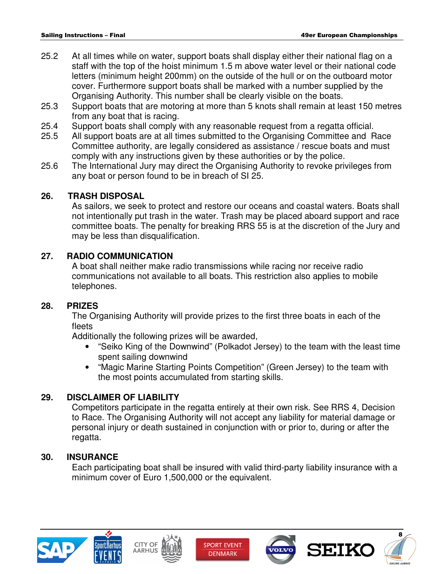- 25.2 At all times while on water, support boats shall display either their national flag on a staff with the top of the hoist minimum 1.5 m above water level or their national code letters (minimum height 200mm) on the outside of the hull or on the outboard motor cover. Furthermore support boats shall be marked with a number supplied by the Organising Authority. This number shall be clearly visible on the boats.
- 25.3 Support boats that are motoring at more than 5 knots shall remain at least 150 metres from any boat that is racing.
- 25.4 Support boats shall comply with any reasonable request from a regatta official.<br>25.5 All support boats are at all times submitted to the Organising Committee and F
- All support boats are at all times submitted to the Organising Committee and Race Committee authority, are legally considered as assistance / rescue boats and must comply with any instructions given by these authorities or by the police.
- 25.6 The International Jury may direct the Organising Authority to revoke privileges from any boat or person found to be in breach of SI 25.

#### **26. TRASH DISPOSAL**

As sailors, we seek to protect and restore our oceans and coastal waters. Boats shall not intentionally put trash in the water. Trash may be placed aboard support and race committee boats. The penalty for breaking RRS 55 is at the discretion of the Jury and may be less than disqualification.

#### **27. RADIO COMMUNICATION**

 A boat shall neither make radio transmissions while racing nor receive radio communications not available to all boats. This restriction also applies to mobile telephones.

#### **28. PRIZES**

 The Organising Authority will provide prizes to the first three boats in each of the fleets

Additionally the following prizes will be awarded,

- "Seiko King of the Downwind" (Polkadot Jersey) to the team with the least time spent sailing downwind
- "Magic Marine Starting Points Competition" (Green Jersey) to the team with the most points accumulated from starting skills.

#### **29. DISCLAIMER OF LIABILITY**

 Competitors participate in the regatta entirely at their own risk. See RRS 4, Decision to Race. The Organising Authority will not accept any liability for material damage or personal injury or death sustained in conjunction with or prior to, during or after the regatta.

#### **30. INSURANCE**

 Each participating boat shall be insured with valid third-party liability insurance with a minimum cover of Euro 1,500,000 or the equivalent.











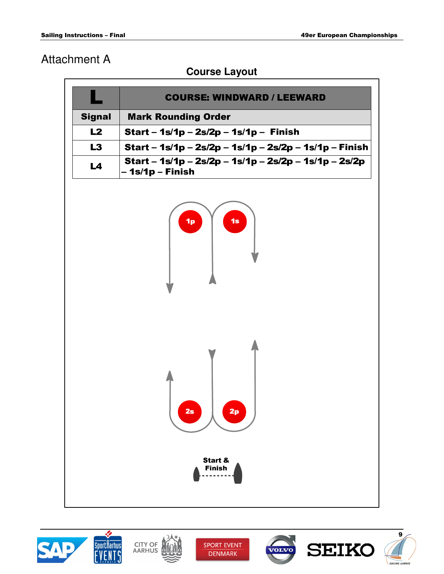# Attachment A

## **Course Layout**

|                                                 | <b>COURSE: WINDWARD / LEEWARD</b>                                         |  |  |  |
|-------------------------------------------------|---------------------------------------------------------------------------|--|--|--|
| <b>Signal</b>                                   | <b>Mark Rounding Order</b>                                                |  |  |  |
| L2                                              | <b>Start - 1s/1p - 2s/2p - 1s/1p - Finish</b>                             |  |  |  |
| L3                                              | Start - 1s/1p - 2s/2p - 1s/1p - 2s/2p - 1s/1p - Finish                    |  |  |  |
| L4                                              | Start - 1s/1p - 2s/2p - 1s/1p - 2s/2p - 1s/1p - 2s/2p<br>- 1s/1p - Finish |  |  |  |
|                                                 | 1s<br>1 <sub>p</sub>                                                      |  |  |  |
| 2p<br>2s<br><b>Start &amp;</b><br><b>Finish</b> |                                                                           |  |  |  |

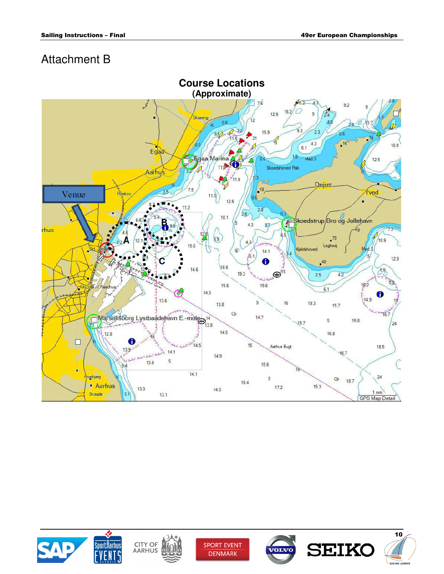# Attachment B







**SPORT EVENT DENMARK** 





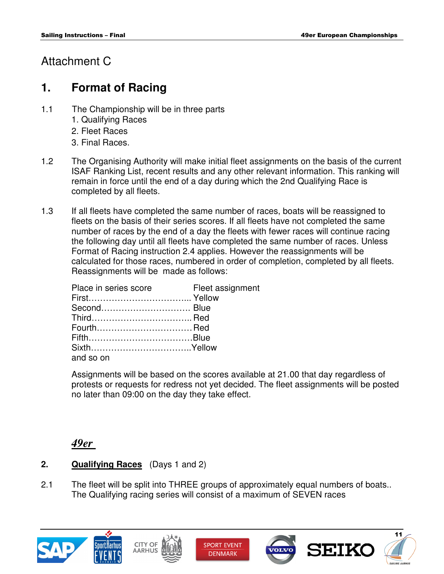## Attachment C

## **1. Format of Racing**

- 1.1 The Championship will be in three parts
	- 1. Qualifying Races
	- 2. Fleet Races
	- 3. Final Races.
- 1.2 The Organising Authority will make initial fleet assignments on the basis of the current ISAF Ranking List, recent results and any other relevant information. This ranking will remain in force until the end of a day during which the 2nd Qualifying Race is completed by all fleets.
- 1.3 If all fleets have completed the same number of races, boats will be reassigned to fleets on the basis of their series scores. If all fleets have not completed the same number of races by the end of a day the fleets with fewer races will continue racing the following day until all fleets have completed the same number of races. Unless Format of Racing instruction 2.4 applies. However the reassignments will be calculated for those races, numbered in order of completion, completed by all fleets. Reassignments will be made as follows:

| Place in series score | Fleet assignment |
|-----------------------|------------------|
|                       |                  |
|                       |                  |
|                       |                  |
|                       |                  |
|                       |                  |
|                       |                  |
| and so on             |                  |

 Assignments will be based on the scores available at 21.00 that day regardless of protests or requests for redress not yet decided. The fleet assignments will be posted no later than 09:00 on the day they take effect.

## *49er*

- **2. Qualifying Races** (Days 1 and 2)
- 2.1 The fleet will be split into THREE groups of approximately equal numbers of boats.. The Qualifying racing series will consist of a maximum of SEVEN races

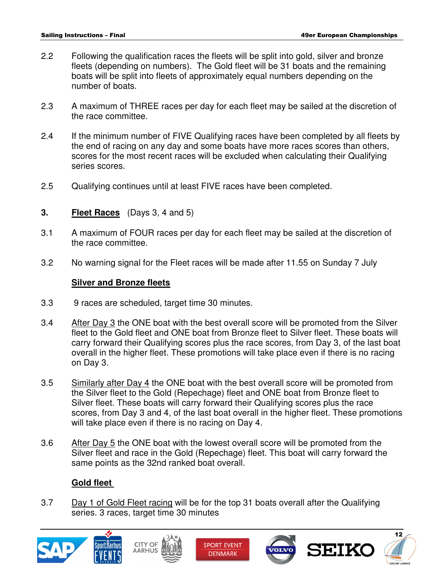- 2.2 Following the qualification races the fleets will be split into gold, silver and bronze fleets (depending on numbers). The Gold fleet will be 31 boats and the remaining boats will be split into fleets of approximately equal numbers depending on the number of boats.
- 2.3 A maximum of THREE races per day for each fleet may be sailed at the discretion of the race committee.
- 2.4 If the minimum number of FIVE Qualifying races have been completed by all fleets by the end of racing on any day and some boats have more races scores than others, scores for the most recent races will be excluded when calculating their Qualifying series scores.
- 2.5 Qualifying continues until at least FIVE races have been completed.
- **3. Fleet Races** (Days 3, 4 and 5)
- 3.1 A maximum of FOUR races per day for each fleet may be sailed at the discretion of the race committee.
- 3.2 No warning signal for the Fleet races will be made after 11.55 on Sunday 7 July

#### **Silver and Bronze fleets**

- 3.3 9 races are scheduled, target time 30 minutes.
- 3.4 After Day 3 the ONE boat with the best overall score will be promoted from the Silver fleet to the Gold fleet and ONE boat from Bronze fleet to Silver fleet. These boats will carry forward their Qualifying scores plus the race scores, from Day 3, of the last boat overall in the higher fleet. These promotions will take place even if there is no racing on Day 3.
- 3.5 Similarly after Day 4 the ONE boat with the best overall score will be promoted from the Silver fleet to the Gold (Repechage) fleet and ONE boat from Bronze fleet to Silver fleet. These boats will carry forward their Qualifying scores plus the race scores, from Day 3 and 4, of the last boat overall in the higher fleet. These promotions will take place even if there is no racing on Day 4.
- 3.6 After Day 5 the ONE boat with the lowest overall score will be promoted from the Silver fleet and race in the Gold (Repechage) fleet. This boat will carry forward the same points as the 32nd ranked boat overall.

#### **Gold fleet**

 3.7 Day 1 of Gold Fleet racing will be for the top 31 boats overall after the Qualifying series. 3 races, target time 30 minutes











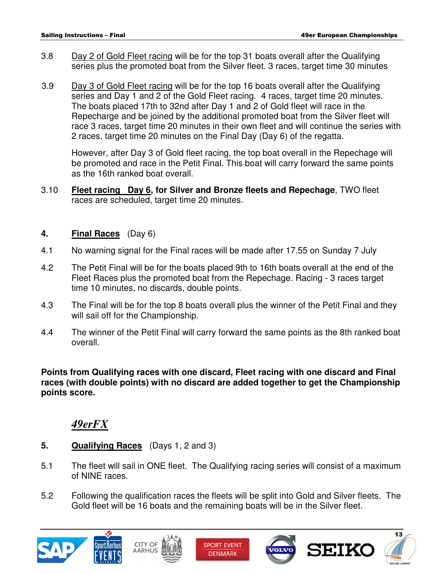- 3.8 Day 2 of Gold Fleet racing will be for the top 31 boats overall after the Qualifying series plus the promoted boat from the Silver fleet. 3 races, target time 30 minutes
- 3.9 Day 3 of Gold Fleet racing will be for the top 16 boats overall after the Qualifying series and Day 1 and 2 of the Gold Fleet racing. 4 races, target time 20 minutes. The boats placed 17th to 32nd after Day 1 and 2 of Gold fleet will race in the Repecharge and be joined by the additional promoted boat from the Silver fleet will race 3 races, target time 20 minutes in their own fleet and will continue the series with 2 races, target time 20 minutes on the Final Day (Day 6) of the regatta.

 However, after Day 3 of Gold fleet racing, the top boat overall in the Repechage will be promoted and race in the Petit Final. This boat will carry forward the same points as the 16th ranked boat overall.

 3.10 **Fleet racing Day 6, for Silver and Bronze fleets and Repechage**, TWO fleet races are scheduled, target time 20 minutes.

#### **4. Final Races** (Day 6)

- 4.1 No warning signal for the Final races will be made after 17.55 on Sunday 7 July
- 4.2 The Petit Final will be for the boats placed 9th to 16th boats overall at the end of the Fleet Races plus the promoted boat from the Repechage. Racing - 3 races target time 10 minutes, no discards, double points.
- 4.3 The Final will be for the top 8 boats overall plus the winner of the Petit Final and they will sail off for the Championship.
- 4.4 The winner of the Petit Final will carry forward the same points as the 8th ranked boat overall.

#### **Points from Qualifying races with one discard, Fleet racing with one discard and Final races (with double points) with no discard are added together to get the Championship points score.**

## *49erFX*

- **5. Qualifying Races** (Days 1, 2 and 3)
- 5.1 The fleet will sail in ONE fleet. The Qualifying racing series will consist of a maximum of NINE races.
- 5.2 Following the qualification races the fleets will be split into Gold and Silver fleets. The Gold fleet will be 16 boats and the remaining boats will be in the Silver fleet.